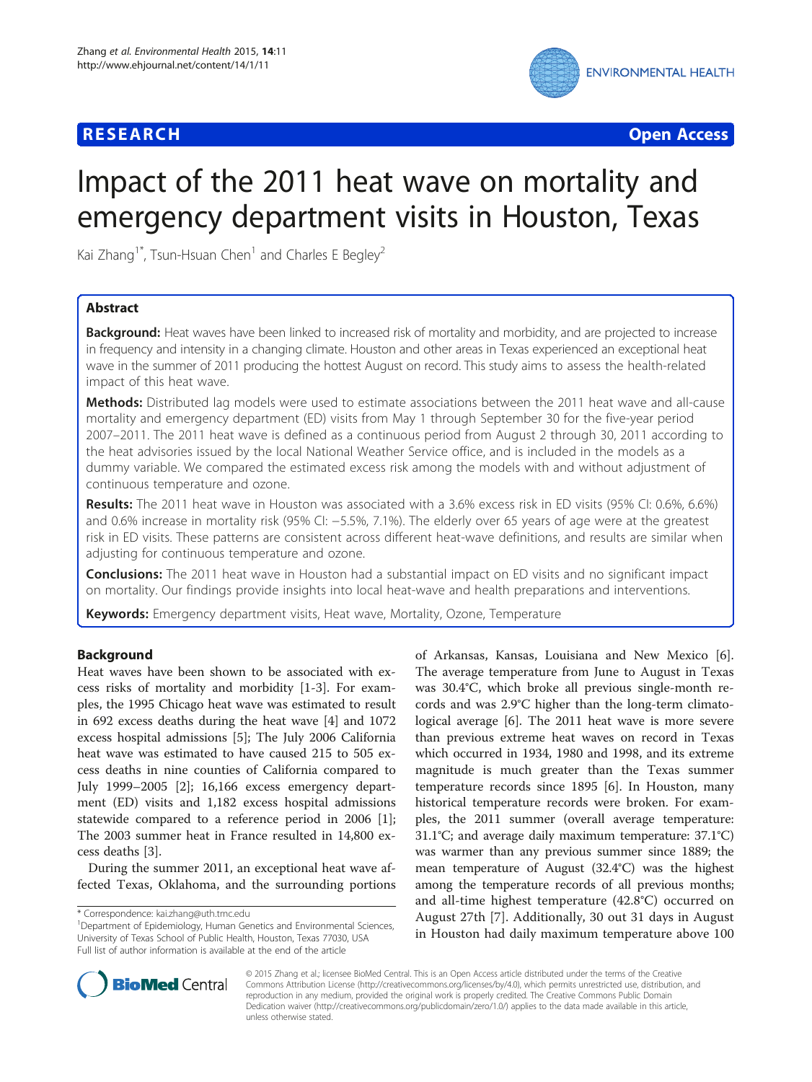## **RESEARCH CHE Open Access**



# Impact of the 2011 heat wave on mortality and emergency department visits in Houston, Texas

Kai Zhang<sup>1\*</sup>, Tsun-Hsuan Chen<sup>1</sup> and Charles E Begley<sup>2</sup>

## Abstract

Background: Heat waves have been linked to increased risk of mortality and morbidity, and are projected to increase in frequency and intensity in a changing climate. Houston and other areas in Texas experienced an exceptional heat wave in the summer of 2011 producing the hottest August on record. This study aims to assess the health-related impact of this heat wave.

Methods: Distributed lag models were used to estimate associations between the 2011 heat wave and all-cause mortality and emergency department (ED) visits from May 1 through September 30 for the five-year period 2007–2011. The 2011 heat wave is defined as a continuous period from August 2 through 30, 2011 according to the heat advisories issued by the local National Weather Service office, and is included in the models as a dummy variable. We compared the estimated excess risk among the models with and without adjustment of continuous temperature and ozone.

Results: The 2011 heat wave in Houston was associated with a 3.6% excess risk in ED visits (95% CI: 0.6%, 6.6%) and 0.6% increase in mortality risk (95% CI: −5.5%, 7.1%). The elderly over 65 years of age were at the greatest risk in ED visits. These patterns are consistent across different heat-wave definitions, and results are similar when adjusting for continuous temperature and ozone.

**Conclusions:** The 2011 heat wave in Houston had a substantial impact on ED visits and no significant impact on mortality. Our findings provide insights into local heat-wave and health preparations and interventions.

Keywords: Emergency department visits, Heat wave, Mortality, Ozone, Temperature

## Background

Heat waves have been shown to be associated with excess risks of mortality and morbidity [\[1](#page-5-0)-[3\]](#page-5-0). For examples, the 1995 Chicago heat wave was estimated to result in 692 excess deaths during the heat wave [\[4](#page-6-0)] and 1072 excess hospital admissions [[5\]](#page-6-0); The July 2006 California heat wave was estimated to have caused 215 to 505 excess deaths in nine counties of California compared to July 1999–2005 [[2\]](#page-5-0); 16,166 excess emergency department (ED) visits and 1,182 excess hospital admissions statewide compared to a reference period in 2006 [\[1](#page-5-0)]; The 2003 summer heat in France resulted in 14,800 excess deaths [\[3](#page-5-0)].

During the summer 2011, an exceptional heat wave affected Texas, Oklahoma, and the surrounding portions of Arkansas, Kansas, Louisiana and New Mexico [\[6](#page-6-0)]. The average temperature from June to August in Texas was 30.4°C, which broke all previous single-month records and was 2.9°C higher than the long-term climatological average [[6\]](#page-6-0). The 2011 heat wave is more severe than previous extreme heat waves on record in Texas which occurred in 1934, 1980 and 1998, and its extreme magnitude is much greater than the Texas summer temperature records since 1895 [\[6](#page-6-0)]. In Houston, many historical temperature records were broken. For examples, the 2011 summer (overall average temperature: 31.1°C; and average daily maximum temperature: 37.1°C) was warmer than any previous summer since 1889; the mean temperature of August (32.4°C) was the highest among the temperature records of all previous months; and all-time highest temperature (42.8°C) occurred on August 27th [[7\]](#page-6-0). Additionally, 30 out 31 days in August in Houston had daily maximum temperature above 100



© 2015 Zhang et al.; licensee BioMed Central. This is an Open Access article distributed under the terms of the Creative Commons Attribution License [\(http://creativecommons.org/licenses/by/4.0\)](http://creativecommons.org/licenses/by/4.0), which permits unrestricted use, distribution, and reproduction in any medium, provided the original work is properly credited. The Creative Commons Public Domain Dedication waiver [\(http://creativecommons.org/publicdomain/zero/1.0/](http://creativecommons.org/publicdomain/zero/1.0/)) applies to the data made available in this article, unless otherwise stated.

<sup>\*</sup> Correspondence: [kai.zhang@uth.tmc.edu](mailto:kai.zhang@uth.tmc.edu) <sup>1</sup>

<sup>&</sup>lt;sup>1</sup>Department of Epidemiology, Human Genetics and Environmental Sciences, University of Texas School of Public Health, Houston, Texas 77030, USA Full list of author information is available at the end of the article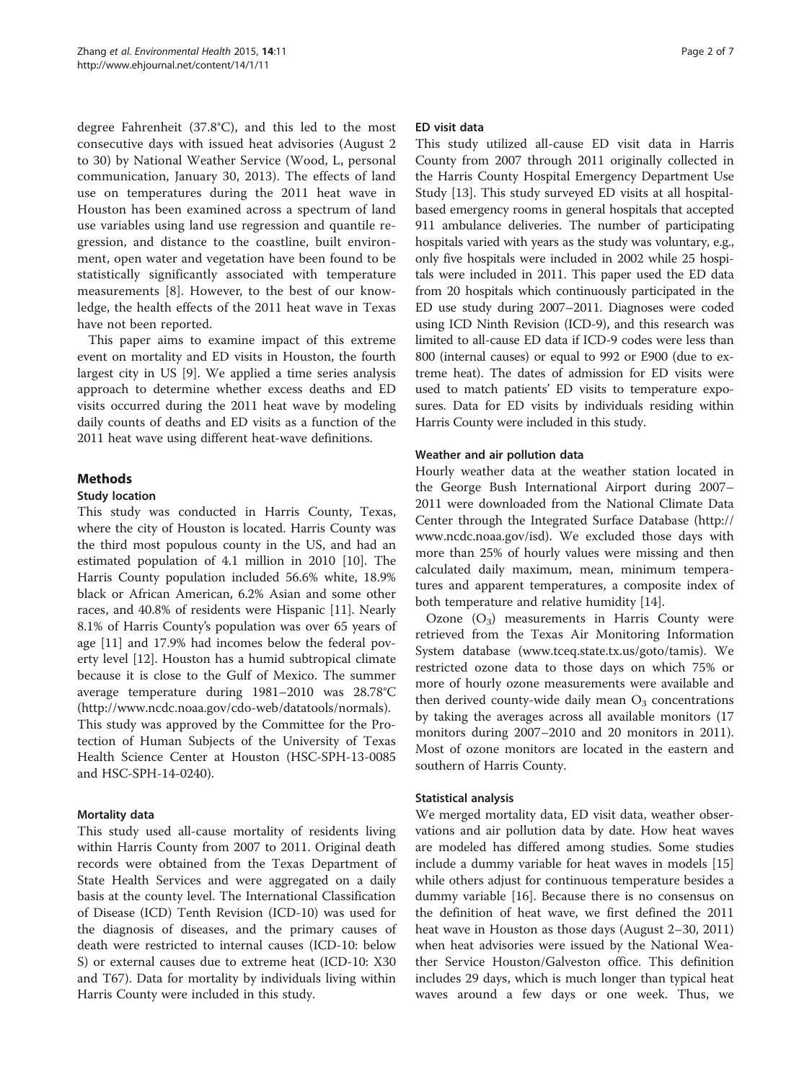degree Fahrenheit (37.8°C), and this led to the most consecutive days with issued heat advisories (August 2 to 30) by National Weather Service (Wood, L, personal communication, January 30, 2013). The effects of land use on temperatures during the 2011 heat wave in Houston has been examined across a spectrum of land use variables using land use regression and quantile regression, and distance to the coastline, built environment, open water and vegetation have been found to be statistically significantly associated with temperature measurements [[8\]](#page-6-0). However, to the best of our knowledge, the health effects of the 2011 heat wave in Texas have not been reported.

This paper aims to examine impact of this extreme event on mortality and ED visits in Houston, the fourth largest city in US [[9\]](#page-6-0). We applied a time series analysis approach to determine whether excess deaths and ED visits occurred during the 2011 heat wave by modeling daily counts of deaths and ED visits as a function of the 2011 heat wave using different heat-wave definitions.

## Methods

## Study location

This study was conducted in Harris County, Texas, where the city of Houston is located. Harris County was the third most populous county in the US, and had an estimated population of 4.1 million in 2010 [\[10](#page-6-0)]. The Harris County population included 56.6% white, 18.9% black or African American, 6.2% Asian and some other races, and 40.8% of residents were Hispanic [\[11\]](#page-6-0). Nearly 8.1% of Harris County's population was over 65 years of age [\[11\]](#page-6-0) and 17.9% had incomes below the federal poverty level [[12](#page-6-0)]. Houston has a humid subtropical climate because it is close to the Gulf of Mexico. The summer average temperature during 1981–2010 was 28.78°C (http://www.ncdc.noaa.gov/cdo-web/datatools/normals). This study was approved by the Committee for the Protection of Human Subjects of the University of Texas Health Science Center at Houston (HSC-SPH-13-0085 and HSC-SPH-14-0240).

## Mortality data

This study used all-cause mortality of residents living within Harris County from 2007 to 2011. Original death records were obtained from the Texas Department of State Health Services and were aggregated on a daily basis at the county level. The International Classification of Disease (ICD) Tenth Revision (ICD-10) was used for the diagnosis of diseases, and the primary causes of death were restricted to internal causes (ICD-10: below S) or external causes due to extreme heat (ICD-10: X30 and T67). Data for mortality by individuals living within Harris County were included in this study.

#### ED visit data

This study utilized all-cause ED visit data in Harris County from 2007 through 2011 originally collected in the Harris County Hospital Emergency Department Use Study [\[13](#page-6-0)]. This study surveyed ED visits at all hospitalbased emergency rooms in general hospitals that accepted 911 ambulance deliveries. The number of participating hospitals varied with years as the study was voluntary, e.g., only five hospitals were included in 2002 while 25 hospitals were included in 2011. This paper used the ED data from 20 hospitals which continuously participated in the ED use study during 2007–2011. Diagnoses were coded using ICD Ninth Revision (ICD-9), and this research was limited to all-cause ED data if ICD-9 codes were less than 800 (internal causes) or equal to 992 or E900 (due to extreme heat). The dates of admission for ED visits were used to match patients' ED visits to temperature exposures. Data for ED visits by individuals residing within Harris County were included in this study.

## Weather and air pollution data

Hourly weather data at the weather station located in the George Bush International Airport during 2007– 2011 were downloaded from the National Climate Data Center through the Integrated Surface Database [\(http://](http://www.ncdc.noaa.gov/isd) [www.ncdc.noaa.gov/isd\)](http://www.ncdc.noaa.gov/isd). We excluded those days with more than 25% of hourly values were missing and then calculated daily maximum, mean, minimum temperatures and apparent temperatures, a composite index of both temperature and relative humidity [[14\]](#page-6-0).

Ozone  $(O_3)$  measurements in Harris County were retrieved from the Texas Air Monitoring Information System database [\(www.tceq.state.tx.us/goto/tamis](http://www.tceq.state.tx.us/goto/tamis)). We restricted ozone data to those days on which 75% or more of hourly ozone measurements were available and then derived county-wide daily mean  $O_3$  concentrations by taking the averages across all available monitors (17 monitors during 2007–2010 and 20 monitors in 2011). Most of ozone monitors are located in the eastern and southern of Harris County.

#### Statistical analysis

We merged mortality data, ED visit data, weather observations and air pollution data by date. How heat waves are modeled has differed among studies. Some studies include a dummy variable for heat waves in models [[15](#page-6-0)] while others adjust for continuous temperature besides a dummy variable [\[16](#page-6-0)]. Because there is no consensus on the definition of heat wave, we first defined the 2011 heat wave in Houston as those days (August 2–30, 2011) when heat advisories were issued by the National Weather Service Houston/Galveston office. This definition includes 29 days, which is much longer than typical heat waves around a few days or one week. Thus, we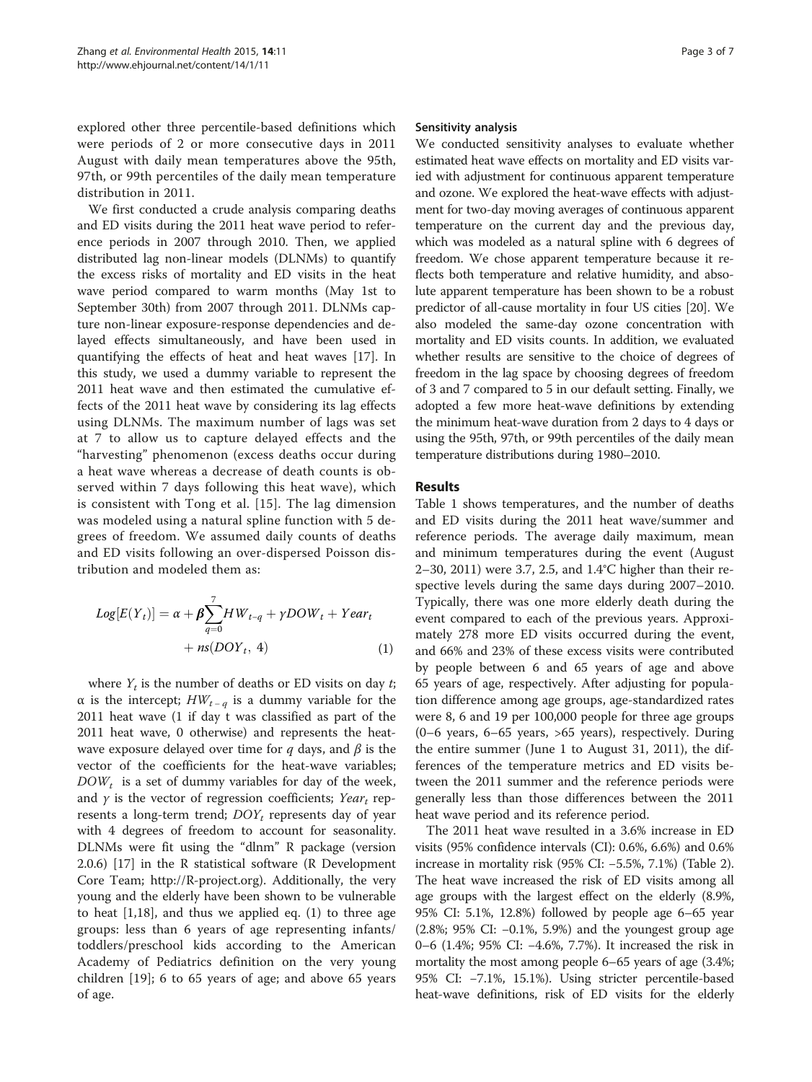explored other three percentile-based definitions which were periods of 2 or more consecutive days in 2011 August with daily mean temperatures above the 95th, 97th, or 99th percentiles of the daily mean temperature distribution in 2011.

We first conducted a crude analysis comparing deaths and ED visits during the 2011 heat wave period to reference periods in 2007 through 2010. Then, we applied distributed lag non-linear models (DLNMs) to quantify the excess risks of mortality and ED visits in the heat wave period compared to warm months (May 1st to September 30th) from 2007 through 2011. DLNMs capture non-linear exposure-response dependencies and delayed effects simultaneously, and have been used in quantifying the effects of heat and heat waves [\[17](#page-6-0)]. In this study, we used a dummy variable to represent the 2011 heat wave and then estimated the cumulative effects of the 2011 heat wave by considering its lag effects using DLNMs. The maximum number of lags was set at 7 to allow us to capture delayed effects and the "harvesting" phenomenon (excess deaths occur during a heat wave whereas a decrease of death counts is observed within 7 days following this heat wave), which is consistent with Tong et al. [\[15\]](#page-6-0). The lag dimension was modeled using a natural spline function with 5 degrees of freedom. We assumed daily counts of deaths and ED visits following an over-dispersed Poisson distribution and modeled them as:

$$
Log[E(Yt)] = \alpha + \beta \sum_{q=0}^{7} HW_{t-q} + \gamma DOW_t + Year_t
$$
  
+  $ns(DOY_t, 4)$  (1)

where  $Y_t$  is the number of deaths or ED visits on day t; α is the intercept;  $HW_{t-q}$  is a dummy variable for the 2011 heat wave (1 if day t was classified as part of the 2011 heat wave, 0 otherwise) and represents the heatwave exposure delayed over time for q days, and  $\beta$  is the vector of the coefficients for the heat-wave variables;  $DOW_t$  is a set of dummy variables for day of the week, and  $\gamma$  is the vector of regression coefficients; Year<sub>t</sub> represents a long-term trend;  $DOY_t$  represents day of year with 4 degrees of freedom to account for seasonality. DLNMs were fit using the "dlnm" R package (version 2.0.6) [\[17\]](#page-6-0) in the R statistical software (R Development Core Team; [http://R-project.org](http://r-project.org/)). Additionally, the very young and the elderly have been shown to be vulnerable to heat  $[1,18]$  $[1,18]$  $[1,18]$ , and thus we applied eq.  $(1)$  to three age groups: less than 6 years of age representing infants/ toddlers/preschool kids according to the American Academy of Pediatrics definition on the very young children [[19\]](#page-6-0); 6 to 65 years of age; and above 65 years of age.

#### Sensitivity analysis

We conducted sensitivity analyses to evaluate whether estimated heat wave effects on mortality and ED visits varied with adjustment for continuous apparent temperature and ozone. We explored the heat-wave effects with adjustment for two-day moving averages of continuous apparent temperature on the current day and the previous day, which was modeled as a natural spline with 6 degrees of freedom. We chose apparent temperature because it reflects both temperature and relative humidity, and absolute apparent temperature has been shown to be a robust predictor of all-cause mortality in four US cities [\[20\]](#page-6-0). We also modeled the same-day ozone concentration with mortality and ED visits counts. In addition, we evaluated whether results are sensitive to the choice of degrees of freedom in the lag space by choosing degrees of freedom of 3 and 7 compared to 5 in our default setting. Finally, we adopted a few more heat-wave definitions by extending the minimum heat-wave duration from 2 days to 4 days or using the 95th, 97th, or 99th percentiles of the daily mean temperature distributions during 1980–2010.

## Results

Table [1](#page-3-0) shows temperatures, and the number of deaths and ED visits during the 2011 heat wave/summer and reference periods. The average daily maximum, mean and minimum temperatures during the event (August 2–30, 2011) were 3.7, 2.5, and 1.4°C higher than their respective levels during the same days during 2007–2010. Typically, there was one more elderly death during the event compared to each of the previous years. Approximately 278 more ED visits occurred during the event, and 66% and 23% of these excess visits were contributed by people between 6 and 65 years of age and above 65 years of age, respectively. After adjusting for population difference among age groups, age-standardized rates were 8, 6 and 19 per 100,000 people for three age groups (0–6 years, 6–65 years, >65 years), respectively. During the entire summer (June 1 to August 31, 2011), the differences of the temperature metrics and ED visits between the 2011 summer and the reference periods were generally less than those differences between the 2011 heat wave period and its reference period.

The 2011 heat wave resulted in a 3.6% increase in ED visits (95% confidence intervals (CI): 0.6%, 6.6%) and 0.6% increase in mortality risk (95% CI: −5.5%, 7.1%) (Table [2](#page-3-0)). The heat wave increased the risk of ED visits among all age groups with the largest effect on the elderly (8.9%, 95% CI: 5.1%, 12.8%) followed by people age 6–65 year (2.8%; 95% CI: −0.1%, 5.9%) and the youngest group age 0–6 (1.4%; 95% CI: −4.6%, 7.7%). It increased the risk in mortality the most among people 6–65 years of age (3.4%; 95% CI: −7.1%, 15.1%). Using stricter percentile-based heat-wave definitions, risk of ED visits for the elderly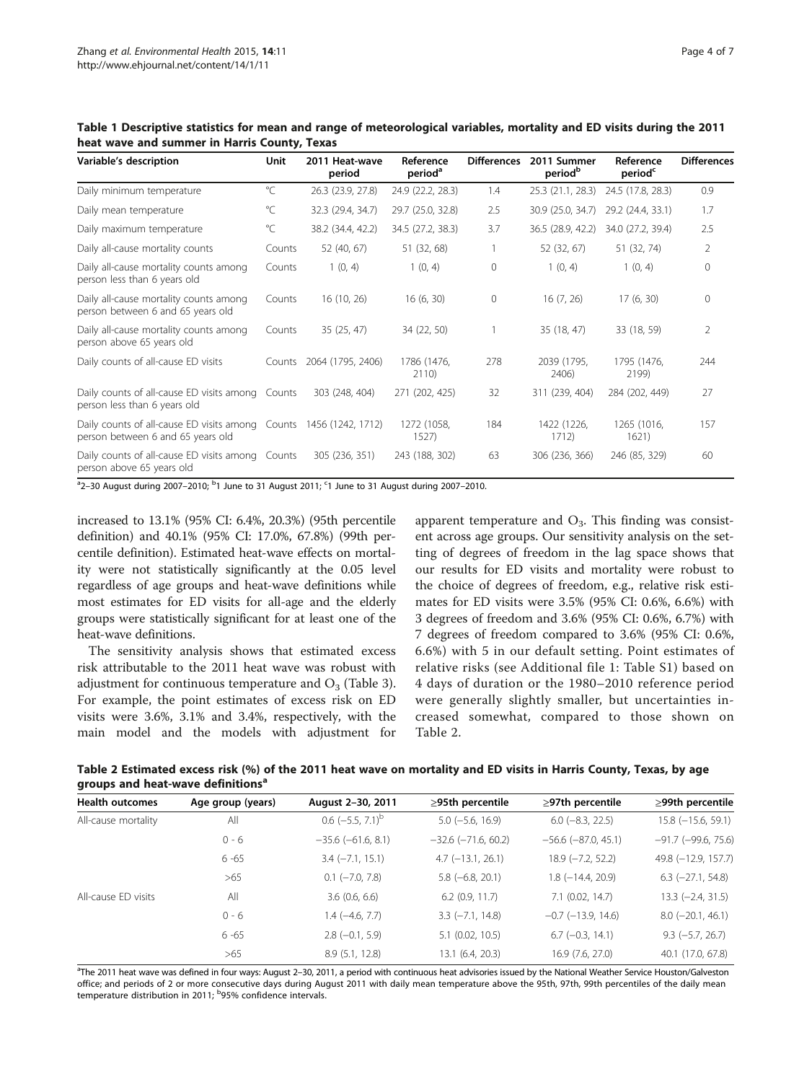| Variable's description                                                                                  | Unit         | 2011 Heat-wave<br>period | Reference<br>period <sup>a</sup> | <b>Differences</b> | 2011 Summer<br>period <sup>b</sup> | Reference<br>period <sup>c</sup> | <b>Differences</b> |
|---------------------------------------------------------------------------------------------------------|--------------|--------------------------|----------------------------------|--------------------|------------------------------------|----------------------------------|--------------------|
| Daily minimum temperature                                                                               | $\mathrm{C}$ | 26.3 (23.9, 27.8)        | 24.9 (22.2, 28.3)                | 1.4                | 25.3 (21.1, 28.3)                  | 24.5 (17.8, 28.3)                | 0.9                |
| Daily mean temperature                                                                                  | °C           | 32.3 (29.4, 34.7)        | 29.7 (25.0, 32.8)                | 2.5                | 30.9 (25.0, 34.7)                  | 29.2 (24.4, 33.1)                | 1.7                |
| Daily maximum temperature                                                                               | $^{\circ}$ C | 38.2 (34.4, 42.2)        | 34.5 (27.2, 38.3)                | 3.7                | 36.5 (28.9, 42.2)                  | 34.0 (27.2, 39.4)                | 2.5                |
| Daily all-cause mortality counts                                                                        | Counts       | 52 (40, 67)              | 51 (32, 68)                      |                    | 52 (32, 67)                        | 51 (32, 74)                      | 2                  |
| Daily all-cause mortality counts among<br>person less than 6 years old                                  | Counts       | 1(0, 4)                  | 1(0, 4)                          | $\mathbf{0}$       | 1(0, 4)                            | 1(0, 4)                          | $\Omega$           |
| Daily all-cause mortality counts among<br>person between 6 and 65 years old                             | Counts       | 16(10, 26)               | 16(6, 30)                        | $\mathbf{0}$       | 16(7, 26)                          | 17(6, 30)                        | $\Omega$           |
| Daily all-cause mortality counts among<br>person above 65 years old                                     | Counts       | 35(25, 47)               | 34 (22, 50)                      |                    | 35(18, 47)                         | 33 (18, 59)                      | 2                  |
| Daily counts of all-cause ED visits                                                                     | Counts       | 2064 (1795, 2406)        | 1786 (1476,<br>2110)             | 278                | 2039 (1795,<br>2406)               | 1795 (1476,<br>2199)             | 244                |
| Daily counts of all-cause ED visits among Counts<br>person less than 6 years old                        |              | 303 (248, 404)           | 271 (202, 425)                   | 32                 | 311 (239, 404)                     | 284 (202, 449)                   | 27                 |
| Daily counts of all-cause ED visits among Counts 1456 (1242, 1712)<br>person between 6 and 65 years old |              |                          | 1272 (1058,<br>1527              | 184                | 1422 (1226,<br>1712)               | 1265 (1016,<br>1621)             | 157                |
| Daily counts of all-cause ED visits among Counts<br>person above 65 years old                           |              | 305 (236, 351)           | 243 (188, 302)                   | 63                 | 306 (236, 366)                     | 246 (85, 329)                    | 60                 |

<span id="page-3-0"></span>Table 1 Descriptive statistics for mean and range of meteorological variables, mortality and ED visits during the 2011 heat wave and summer in Harris County, Texas

 $^{\rm a}$ 2–30 August during 2007–2010;  $^{\rm b}$ 1 June to 31 August 2011;  $^{\rm c}$ 1 June to 31 August during 2007–2010.

increased to 13.1% (95% CI: 6.4%, 20.3%) (95th percentile definition) and 40.1% (95% CI: 17.0%, 67.8%) (99th percentile definition). Estimated heat-wave effects on mortality were not statistically significantly at the 0.05 level regardless of age groups and heat-wave definitions while most estimates for ED visits for all-age and the elderly groups were statistically significant for at least one of the heat-wave definitions.

The sensitivity analysis shows that estimated excess risk attributable to the 2011 heat wave was robust with adjustment for continuous temperature and  $O_3$  (Table [3](#page-4-0)). For example, the point estimates of excess risk on ED visits were 3.6%, 3.1% and 3.4%, respectively, with the main model and the models with adjustment for

apparent temperature and  $O_3$ . This finding was consistent across age groups. Our sensitivity analysis on the setting of degrees of freedom in the lag space shows that our results for ED visits and mortality were robust to the choice of degrees of freedom, e.g., relative risk estimates for ED visits were 3.5% (95% CI: 0.6%, 6.6%) with 3 degrees of freedom and 3.6% (95% CI: 0.6%, 6.7%) with 7 degrees of freedom compared to 3.6% (95% CI: 0.6%, 6.6%) with 5 in our default setting. Point estimates of relative risks (see Additional file [1](#page-5-0): Table S1) based on 4 days of duration or the 1980–2010 reference period were generally slightly smaller, but uncertainties increased somewhat, compared to those shown on Table 2.

Table 2 Estimated excess risk (%) of the 2011 heat wave on mortality and ED visits in Harris County, Texas, by age groups and heat-wave definitions<sup>a</sup>

| <b>Health outcomes</b> | Age group (years) | August 2-30, 2011              | $\geq$ 95th percentile    | $\geq$ 97th percentile   | $\geq$ 99th percentile    |
|------------------------|-------------------|--------------------------------|---------------------------|--------------------------|---------------------------|
| All-cause mortality    | All               | $0.6$ (-5.5, 7.1) <sup>b</sup> | $5.0$ ( $-5.6$ , 16.9)    | $6.0$ ( $-8.3$ , 22.5)   | $15.8$ (-15.6, 59.1)      |
|                        | $0 - 6$           | $-35.6$ ( $-61.6$ , 8.1)       | $-32.6$ ( $-71.6$ , 60.2) | $-56.6$ $(-87.0, 45.1)$  | $-91.7$ ( $-99.6$ , 75.6) |
|                        | $6 - 65$          | $3.4 (-7.1, 15.1)$             | $4.7$ ( $-13.1$ , 26.1)   | $18.9$ ( $-7.2$ , 52.2)  | 49.8 (-12.9, 157.7)       |
|                        | >65               | $0.1$ ( $-7.0$ , $7.8$ )       | $5.8(-6.8, 20.1)$         | $1.8$ ( $-14.4$ , 20.9)  | $6.3$ ( $-27.1$ , 54.8)   |
| All-cause ED visits    | All               | 3.6(0.6, 6.6)                  | $6.2$ (0.9, 11.7)         | $7.1$ (0.02, 14.7)       | $13.3 (-2.4, 31.5)$       |
|                        | $0 - 6$           | 1.4 (-4.6, 7.7)                | $3.3(-7.1, 14.8)$         | $-0.7$ ( $-13.9$ , 14.6) | $8.0$ (-20.1, 46.1)       |
|                        | $6 - 65$          | $2.8$ (-0.1, 5.9)              | $5.1$ (0.02, 10.5)        | $6.7$ ( $-0.3$ , 14.1)   | $9.3$ ( $-5.7$ , 26.7)    |
|                        | >65               | 8.9 (5.1, 12.8)                | 13.1 (6.4, 20.3)          | 16.9 (7.6, 27.0)         | 40.1 (17.0, 67.8)         |
|                        |                   |                                |                           |                          |                           |

<sup>a</sup>The 2011 heat wave was defined in four ways: August 2–30, 2011, a period with continuous heat advisories issued by the National Weather Service Houston/Galveston office; and periods of 2 or more consecutive days during August 2011 with daily mean temperature above the 95th, 97th, 99th percentiles of the daily mean temperature distribution in 2011; <sup>b</sup>95% confidence intervals.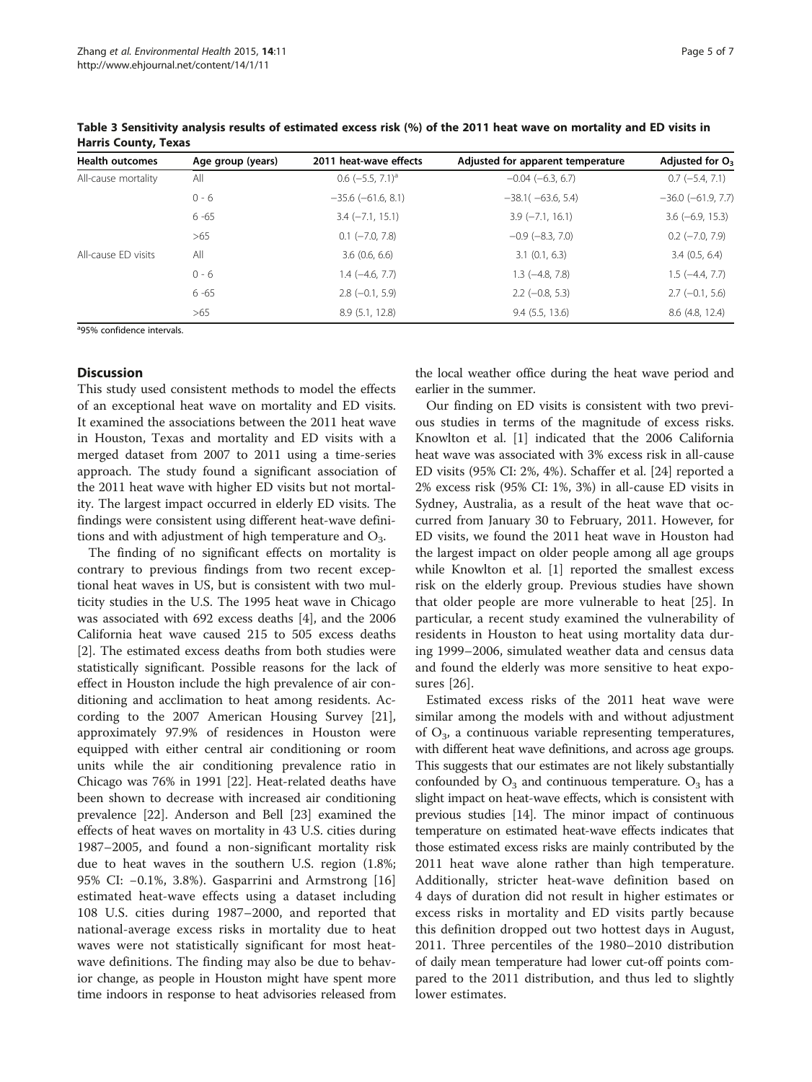| <b>Health outcomes</b> | Age group (years) | 2011 heat-wave effects         | Adjusted for apparent temperature | Adjusted for $O_3$       |
|------------------------|-------------------|--------------------------------|-----------------------------------|--------------------------|
| All-cause mortality    | All               | $0.6$ (-5.5, 7.1) <sup>a</sup> | $-0.04$ $(-6.3, 6.7)$             | $0.7$ (-5.4, 7.1)        |
|                        | $0 - 6$           | $-35.6$ ( $-61.6$ , 8.1)       | $-38.1(-63.6, 5.4)$               | $-36.0$ ( $-61.9$ , 7.7) |
|                        | $6 - 65$          | $3.4 (-7.1, 15.1)$             | $3.9(-7.1, 16.1)$                 | $3.6(-6.9, 15.3)$        |
|                        | >65               | $0.1$ ( $-7.0$ , $7.8$ )       | $-0.9$ ( $-8.3$ , 7.0)            | $0.2$ ( $-7.0$ , $7.9$ ) |
| All-cause ED visits    | All               | 3.6(0.6, 6.6)                  | $3.1$ (0.1, 6.3)                  | 3.4(0.5, 6.4)            |
|                        | $0 - 6$           | $1.4(-4.6, 7.7)$               | $1.3$ ( $-4.8$ , $7.8$ )          | $1.5(-4.4, 7.7)$         |
|                        | $6 - 65$          | $2.8(-0.1, 5.9)$               | $2.2$ (-0.8, 5.3)                 | $2.7$ (-0.1, 5.6)        |
|                        | >65               | 8.9(5.1, 12.8)                 | $9.4$ (5.5, 13.6)                 | 8.6 (4.8, 12.4)          |

<span id="page-4-0"></span>Table 3 Sensitivity analysis results of estimated excess risk (%) of the 2011 heat wave on mortality and ED visits in Harris County, Texas

<sup>a</sup>95% confidence intervals.

## Discussion

This study used consistent methods to model the effects of an exceptional heat wave on mortality and ED visits. It examined the associations between the 2011 heat wave in Houston, Texas and mortality and ED visits with a merged dataset from 2007 to 2011 using a time-series approach. The study found a significant association of the 2011 heat wave with higher ED visits but not mortality. The largest impact occurred in elderly ED visits. The findings were consistent using different heat-wave definitions and with adjustment of high temperature and  $O_3$ .

The finding of no significant effects on mortality is contrary to previous findings from two recent exceptional heat waves in US, but is consistent with two multicity studies in the U.S. The 1995 heat wave in Chicago was associated with 692 excess deaths [\[4\]](#page-6-0), and the 2006 California heat wave caused 215 to 505 excess deaths [[2\]](#page-5-0). The estimated excess deaths from both studies were statistically significant. Possible reasons for the lack of effect in Houston include the high prevalence of air conditioning and acclimation to heat among residents. According to the 2007 American Housing Survey [\[21](#page-6-0)], approximately 97.9% of residences in Houston were equipped with either central air conditioning or room units while the air conditioning prevalence ratio in Chicago was 76% in 1991 [[22](#page-6-0)]. Heat-related deaths have been shown to decrease with increased air conditioning prevalence [\[22\]](#page-6-0). Anderson and Bell [[23\]](#page-6-0) examined the effects of heat waves on mortality in 43 U.S. cities during 1987–2005, and found a non-significant mortality risk due to heat waves in the southern U.S. region (1.8%; 95% CI: −0.1%, 3.8%). Gasparrini and Armstrong [\[16](#page-6-0)] estimated heat-wave effects using a dataset including 108 U.S. cities during 1987–2000, and reported that national-average excess risks in mortality due to heat waves were not statistically significant for most heatwave definitions. The finding may also be due to behavior change, as people in Houston might have spent more time indoors in response to heat advisories released from the local weather office during the heat wave period and earlier in the summer.

Our finding on ED visits is consistent with two previous studies in terms of the magnitude of excess risks. Knowlton et al. [[1\]](#page-5-0) indicated that the 2006 California heat wave was associated with 3% excess risk in all-cause ED visits (95% CI: 2%, 4%). Schaffer et al. [\[24](#page-6-0)] reported a 2% excess risk (95% CI: 1%, 3%) in all-cause ED visits in Sydney, Australia, as a result of the heat wave that occurred from January 30 to February, 2011. However, for ED visits, we found the 2011 heat wave in Houston had the largest impact on older people among all age groups while Knowlton et al. [\[1](#page-5-0)] reported the smallest excess risk on the elderly group. Previous studies have shown that older people are more vulnerable to heat [[25](#page-6-0)]. In particular, a recent study examined the vulnerability of residents in Houston to heat using mortality data during 1999–2006, simulated weather data and census data and found the elderly was more sensitive to heat exposures [\[26](#page-6-0)].

Estimated excess risks of the 2011 heat wave were similar among the models with and without adjustment of  $O_3$ , a continuous variable representing temperatures, with different heat wave definitions, and across age groups. This suggests that our estimates are not likely substantially confounded by  $O_3$  and continuous temperature.  $O_3$  has a slight impact on heat-wave effects, which is consistent with previous studies [\[14](#page-6-0)]. The minor impact of continuous temperature on estimated heat-wave effects indicates that those estimated excess risks are mainly contributed by the 2011 heat wave alone rather than high temperature. Additionally, stricter heat-wave definition based on 4 days of duration did not result in higher estimates or excess risks in mortality and ED visits partly because this definition dropped out two hottest days in August, 2011. Three percentiles of the 1980–2010 distribution of daily mean temperature had lower cut-off points compared to the 2011 distribution, and thus led to slightly lower estimates.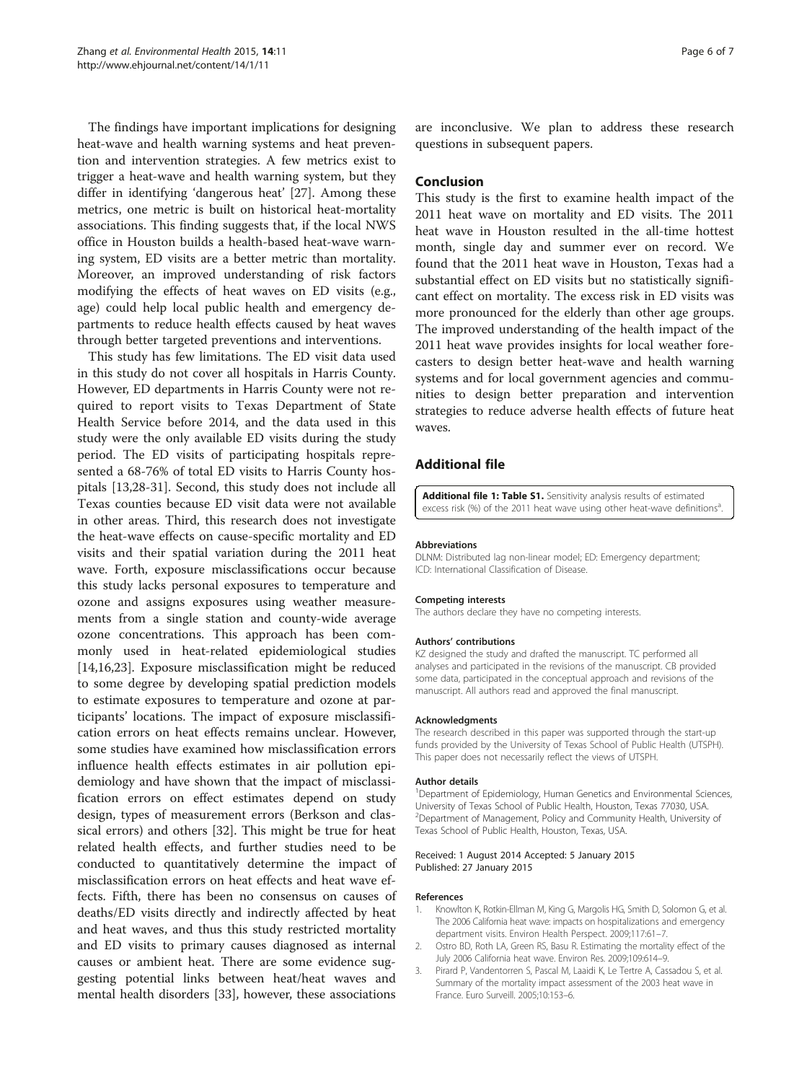<span id="page-5-0"></span>The findings have important implications for designing heat-wave and health warning systems and heat prevention and intervention strategies. A few metrics exist to trigger a heat-wave and health warning system, but they differ in identifying 'dangerous heat' [[27\]](#page-6-0). Among these metrics, one metric is built on historical heat-mortality associations. This finding suggests that, if the local NWS office in Houston builds a health-based heat-wave warning system, ED visits are a better metric than mortality. Moreover, an improved understanding of risk factors modifying the effects of heat waves on ED visits (e.g., age) could help local public health and emergency departments to reduce health effects caused by heat waves through better targeted preventions and interventions.

This study has few limitations. The ED visit data used in this study do not cover all hospitals in Harris County. However, ED departments in Harris County were not required to report visits to Texas Department of State Health Service before 2014, and the data used in this study were the only available ED visits during the study period. The ED visits of participating hospitals represented a 68-76% of total ED visits to Harris County hospitals [\[13,28-31](#page-6-0)]. Second, this study does not include all Texas counties because ED visit data were not available in other areas. Third, this research does not investigate the heat-wave effects on cause-specific mortality and ED visits and their spatial variation during the 2011 heat wave. Forth, exposure misclassifications occur because this study lacks personal exposures to temperature and ozone and assigns exposures using weather measurements from a single station and county-wide average ozone concentrations. This approach has been commonly used in heat-related epidemiological studies [[14,16,23\]](#page-6-0). Exposure misclassification might be reduced to some degree by developing spatial prediction models to estimate exposures to temperature and ozone at participants' locations. The impact of exposure misclassification errors on heat effects remains unclear. However, some studies have examined how misclassification errors influence health effects estimates in air pollution epidemiology and have shown that the impact of misclassification errors on effect estimates depend on study design, types of measurement errors (Berkson and classical errors) and others [[32\]](#page-6-0). This might be true for heat related health effects, and further studies need to be conducted to quantitatively determine the impact of misclassification errors on heat effects and heat wave effects. Fifth, there has been no consensus on causes of deaths/ED visits directly and indirectly affected by heat and heat waves, and thus this study restricted mortality and ED visits to primary causes diagnosed as internal causes or ambient heat. There are some evidence suggesting potential links between heat/heat waves and mental health disorders [\[33](#page-6-0)], however, these associations

are inconclusive. We plan to address these research questions in subsequent papers.

## Conclusion

This study is the first to examine health impact of the 2011 heat wave on mortality and ED visits. The 2011 heat wave in Houston resulted in the all-time hottest month, single day and summer ever on record. We found that the 2011 heat wave in Houston, Texas had a substantial effect on ED visits but no statistically significant effect on mortality. The excess risk in ED visits was more pronounced for the elderly than other age groups. The improved understanding of the health impact of the 2011 heat wave provides insights for local weather forecasters to design better heat-wave and health warning systems and for local government agencies and communities to design better preparation and intervention strategies to reduce adverse health effects of future heat waves.

## Additional file

[Additional file 1: Table S1.](http://www.biomedcentral.com/content/supplementary/1476-069X-14-11-S1.docx) Sensitivity analysis results of estimated excess risk (%) of the 2011 heat wave using other heat-wave definitions<sup>a</sup> .

#### Abbreviations

DLNM: Distributed lag non-linear model; ED: Emergency department; ICD: International Classification of Disease

#### Competing interests

The authors declare they have no competing interests.

#### Authors' contributions

KZ designed the study and drafted the manuscript. TC performed all analyses and participated in the revisions of the manuscript. CB provided some data, participated in the conceptual approach and revisions of the manuscript. All authors read and approved the final manuscript.

#### Acknowledgments

The research described in this paper was supported through the start-up funds provided by the University of Texas School of Public Health (UTSPH). This paper does not necessarily reflect the views of UTSPH.

#### Author details

<sup>1</sup>Department of Epidemiology, Human Genetics and Environmental Sciences, University of Texas School of Public Health, Houston, Texas 77030, USA. 2 Department of Management, Policy and Community Health, University of Texas School of Public Health, Houston, Texas, USA.

#### Received: 1 August 2014 Accepted: 5 January 2015 Published: 27 January 2015

#### References

- 1. Knowlton K, Rotkin-Ellman M, King G, Margolis HG, Smith D, Solomon G, et al. The 2006 California heat wave: impacts on hospitalizations and emergency department visits. Environ Health Perspect. 2009;117:61–7.
- 2. Ostro BD, Roth LA, Green RS, Basu R. Estimating the mortality effect of the July 2006 California heat wave. Environ Res. 2009;109:614–9.
- 3. Pirard P, Vandentorren S, Pascal M, Laaidi K, Le Tertre A, Cassadou S, et al. Summary of the mortality impact assessment of the 2003 heat wave in France. Euro Surveill. 2005;10:153–6.